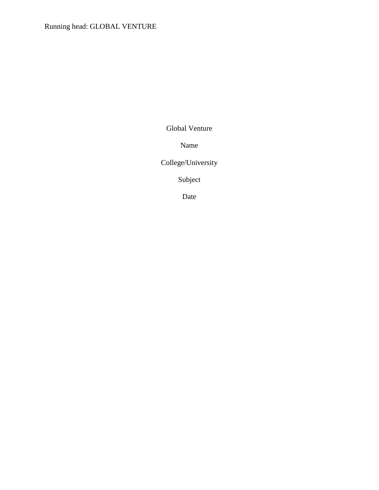Global Venture

Name

College/University

Subject

Date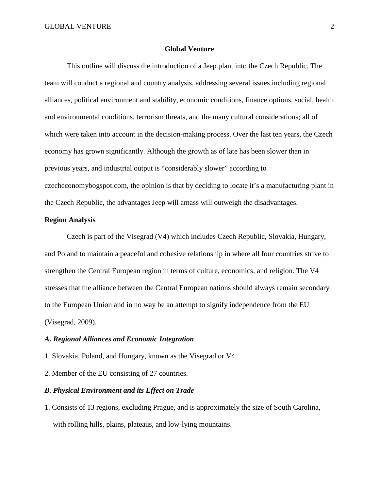#### **Global Venture**

This outline will discuss the introduction of a Jeep plant into the Czech Republic. The team will conduct a regional and country analysis, addressing several issues including regional alliances, political environment and stability, economic conditions, finance options, social, health and environmental conditions, terrorism threats, and the many cultural considerations; all of which were taken into account in the decision-making process. Over the last ten years, the Czech economy has grown significantly. Although the growth as of late has been slower than in previous years, and industrial output is "considerably slower" according to czecheconomybogspot.com, the opinion is that by deciding to locate it's a manufacturing plant in the Czech Republic, the advantages Jeep will amass will outweigh the disadvantages.

# **Region Analysis**

Czech is part of the Visegrad (V4) which includes Czech Republic, Slovakia, Hungary, and Poland to maintain a peaceful and cohesive relationship in where all four countries strive to strengthen the Central European region in terms of culture, economics, and religion. The V4 stresses that the alliance between the Central European nations should always remain secondary to the European Union and in no way be an attempt to signify independence from the EU (Visegrad, 2009).

# *A. Regional Alliances and Economic Integration*

1. Slovakia, Poland, and Hungary, known as the Visegrad or V4.

2. Member of the EU consisting of 27 countries.

# *B. Physical Environment and its Effect on Trade*

1. Consists of 13 regions, excluding Prague, and is approximately the size of South Carolina, with rolling hills, plains, plateaus, and low-lying mountains.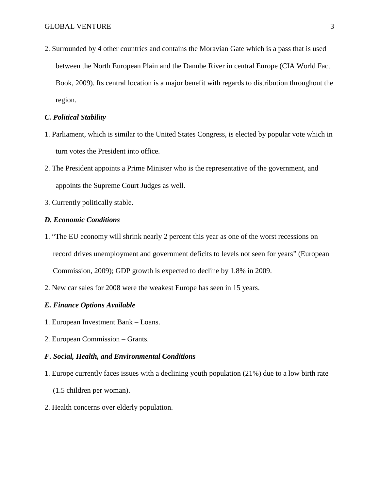2. Surrounded by 4 other countries and contains the Moravian Gate which is a pass that is used between the North European Plain and the Danube River in central Europe (CIA World Fact Book, 2009). Its central location is a major benefit with regards to distribution throughout the region.

### *C. Political Stability*

- 1. Parliament, which is similar to the United States Congress, is elected by popular vote which in turn votes the President into office.
- 2. The President appoints a Prime Minister who is the representative of the government, and appoints the Supreme Court Judges as well.
- 3. Currently politically stable.

# *D. Economic Conditions*

- 1. "The EU economy will shrink nearly 2 percent this year as one of the worst recessions on record drives unemployment and government deficits to levels not seen for years" (European Commission, 2009); GDP growth is expected to decline by 1.8% in 2009.
- 2. New car sales for 2008 were the weakest Europe has seen in 15 years.

## *E. Finance Options Available*

- 1. European Investment Bank Loans.
- 2. European Commission Grants.

### *F. Social, Health, and Environmental Conditions*

- 1. Europe currently faces issues with a declining youth population (21%) due to a low birth rate
	- (1.5 children per woman).
- 2. Health concerns over elderly population.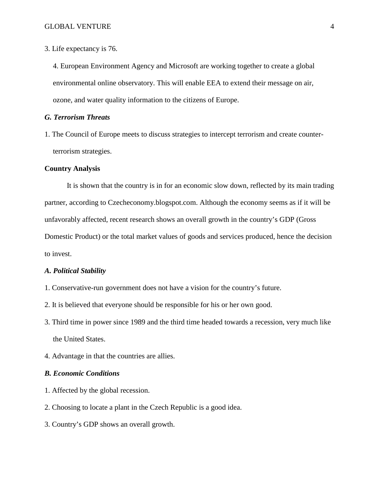3. Life expectancy is 76.

4. European Environment Agency and Microsoft are working together to create a global environmental online observatory. This will enable EEA to extend their message on air, ozone, and water quality information to the citizens of Europe.

### *G. Terrorism Threats*

1. The Council of Europe meets to discuss strategies to intercept terrorism and create counterterrorism strategies.

### **Country Analysis**

It is shown that the country is in for an economic slow down, reflected by its main trading partner, according to Czecheconomy.blogspot.com. Although the economy seems as if it will be unfavorably affected, recent research shows an overall growth in the country's GDP (Gross Domestic Product) or the total market values of goods and services produced, hence the decision to invest.

#### *A. Political Stability*

- 1. Conservative-run government does not have a vision for the country's future.
- 2. It is believed that everyone should be responsible for his or her own good.
- 3. Third time in power since 1989 and the third time headed towards a recession, very much like the United States.
- 4. Advantage in that the countries are allies.

### *B. Economic Conditions*

- 1. Affected by the global recession.
- 2. Choosing to locate a plant in the Czech Republic is a good idea.
- 3. Country's GDP shows an overall growth.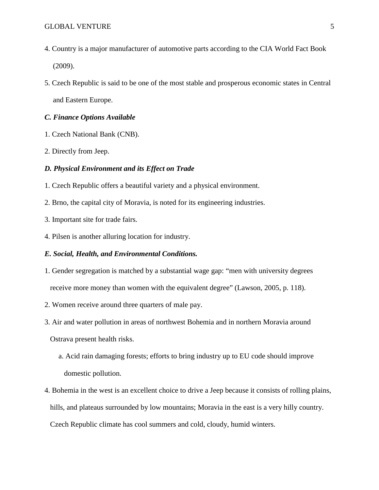- 4. Country is a major manufacturer of automotive parts according to the CIA World Fact Book (2009).
- 5. Czech Republic is said to be one of the most stable and prosperous economic states in Central and Eastern Europe.

# *C. Finance Options Available*

- 1. Czech National Bank (CNB).
- 2. Directly from Jeep.

### *D. Physical Environment and its Effect on Trade*

- 1. Czech Republic offers a beautiful variety and a physical environment.
- 2. Brno, the capital city of Moravia, is noted for its engineering industries.
- 3. Important site for trade fairs.
- 4. Pilsen is another alluring location for industry.

#### *E. Social, Health, and Environmental Conditions.*

- 1. Gender segregation is matched by a substantial wage gap: "men with university degrees receive more money than women with the equivalent degree" (Lawson, 2005, p. 118).
- 2. Women receive around three quarters of male pay.
- 3. Air and water pollution in areas of northwest Bohemia and in northern Moravia around

Ostrava present health risks.

- a. Acid rain damaging forests; efforts to bring industry up to EU code should improve domestic pollution.
- 4. Bohemia in the west is an excellent choice to drive a Jeep because it consists of rolling plains, hills, and plateaus surrounded by low mountains; Moravia in the east is a very hilly country. Czech Republic climate has cool summers and cold, cloudy, humid winters.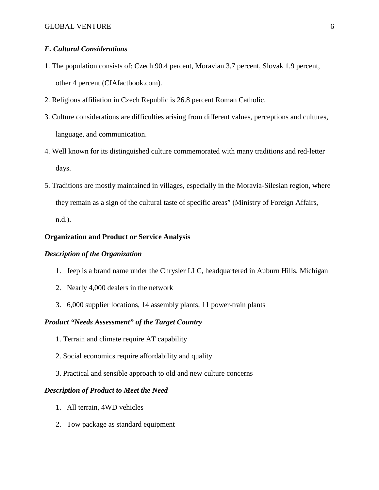# *F. Cultural Considerations*

- 1. The population consists of: Czech 90.4 percent, Moravian 3.7 percent, Slovak 1.9 percent, other 4 percent (CIAfactbook.com).
- 2. Religious affiliation in Czech Republic is 26.8 percent Roman Catholic.
- 3. Culture considerations are difficulties arising from different values, perceptions and cultures, language, and communication.
- 4. Well known for its distinguished culture commemorated with many traditions and red-letter days.
- 5. Traditions are mostly maintained in villages, especially in the Moravia-Silesian region, where they remain as a sign of the cultural taste of specific areas" (Ministry of Foreign Affairs, n.d.).

### **Organization and Product or Service Analysis**

# *Description of the Organization*

- 1. Jeep is a brand name under the Chrysler LLC, headquartered in Auburn Hills, Michigan
- 2. Nearly 4,000 dealers in the network
- 3. 6,000 supplier locations, 14 assembly plants, 11 power-train plants

# *Product "Needs Assessment" of the Target Country*

- 1. Terrain and climate require AT capability
- 2. Social economics require affordability and quality
- 3. Practical and sensible approach to old and new culture concerns

#### *Description of Product to Meet the Need*

- 1. All terrain, 4WD vehicles
- 2. Tow package as standard equipment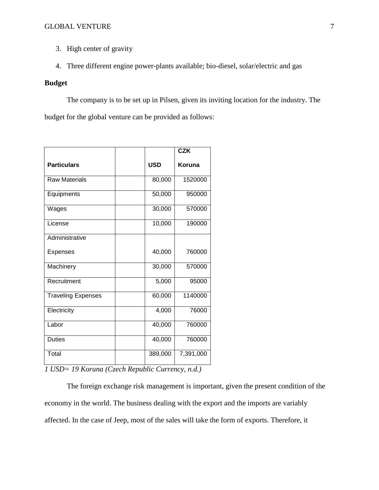- 3. High center of gravity
- 4. Three different engine power-plants available; bio-diesel, solar/electric and gas

# **Budget**

The company is to be set up in Pilsen, given its inviting location for the industry. The budget for the global venture can be provided as follows:

|                           |            | <b>CZK</b> |
|---------------------------|------------|------------|
| <b>Particulars</b>        | <b>USD</b> | Koruna     |
| <b>Raw Materials</b>      | 80,000     | 1520000    |
| Equipments                | 50,000     | 950000     |
| Wages                     | 30,000     | 570000     |
| License                   | 10,000     | 190000     |
| Administrative            |            |            |
| <b>Expenses</b>           | 40,000     | 760000     |
| Machinery                 | 30,000     | 570000     |
| Recruitment               | 5,000      | 95000      |
| <b>Traveling Expenses</b> | 60,000     | 1140000    |
| Electricity               | 4,000      | 76000      |
| Labor                     | 40,000     | 760000     |
| <b>Duties</b>             | 40,000     | 760000     |
| Total                     | 389,000    | 7,391,000  |

*1 USD= 19 Koruna (Czech Republic Currency, n.d.)*

The foreign exchange risk management is important, given the present condition of the economy in the world. The business dealing with the export and the imports are variably affected. In the case of Jeep, most of the sales will take the form of exports. Therefore, it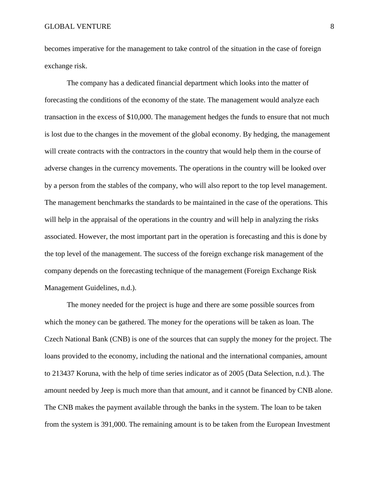becomes imperative for the management to take control of the situation in the case of foreign exchange risk.

The company has a dedicated financial department which looks into the matter of forecasting the conditions of the economy of the state. The management would analyze each transaction in the excess of \$10,000. The management hedges the funds to ensure that not much is lost due to the changes in the movement of the global economy. By hedging, the management will create contracts with the contractors in the country that would help them in the course of adverse changes in the currency movements. The operations in the country will be looked over by a person from the stables of the company, who will also report to the top level management. The management benchmarks the standards to be maintained in the case of the operations. This will help in the appraisal of the operations in the country and will help in analyzing the risks associated. However, the most important part in the operation is forecasting and this is done by the top level of the management. The success of the foreign exchange risk management of the company depends on the forecasting technique of the management (Foreign Exchange Risk Management Guidelines, n.d.).

The money needed for the project is huge and there are some possible sources from which the money can be gathered. The money for the operations will be taken as loan. The Czech National Bank (CNB) is one of the sources that can supply the money for the project. The loans provided to the economy, including the national and the international companies, amount to 213437 Koruna, with the help of time series indicator as of 2005 (Data Selection, n.d.). The amount needed by Jeep is much more than that amount, and it cannot be financed by CNB alone. The CNB makes the payment available through the banks in the system. The loan to be taken from the system is 391,000. The remaining amount is to be taken from the European Investment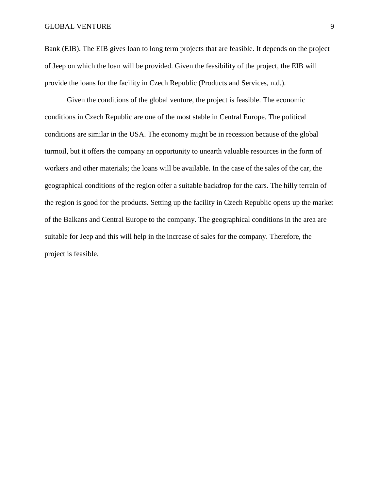# GLOBAL VENTURE 9

Bank (EIB). The EIB gives loan to long term projects that are feasible. It depends on the project of Jeep on which the loan will be provided. Given the feasibility of the project, the EIB will provide the loans for the facility in Czech Republic (Products and Services, n.d.).

Given the conditions of the global venture, the project is feasible. The economic conditions in Czech Republic are one of the most stable in Central Europe. The political conditions are similar in the USA. The economy might be in recession because of the global turmoil, but it offers the company an opportunity to unearth valuable resources in the form of workers and other materials; the loans will be available. In the case of the sales of the car, the geographical conditions of the region offer a suitable backdrop for the cars. The hilly terrain of the region is good for the products. Setting up the facility in Czech Republic opens up the market of the Balkans and Central Europe to the company. The geographical conditions in the area are suitable for Jeep and this will help in the increase of sales for the company. Therefore, the project is feasible.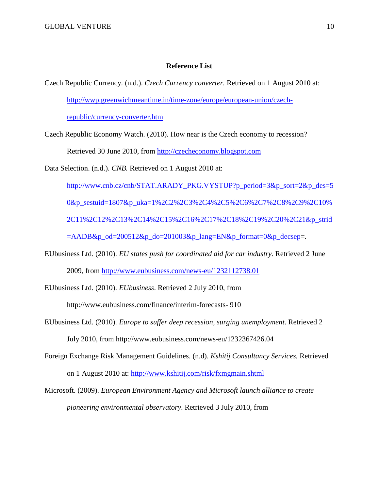# **Reference List**

Czech Republic Currency. (n.d.). *Czech Currency converter.* Retrieved on 1 August 2010 at: [http://wwp.greenwichmeantime.in/time-zone/europe/european-union/czech-](http://wwp.greenwichmeantime.in/time-zone/europe/european-union/czech-republic/currency-converter.htm)

[republic/currency-converter.htm](http://wwp.greenwichmeantime.in/time-zone/europe/european-union/czech-republic/currency-converter.htm)

Czech Republic Economy Watch. (2010). How near is the Czech economy to recession? Retrieved 30 June 2010, from [http://czecheconomy.blogspot.com](http://czecheconomy.blogspot.com/)

Data Selection. (n.d.). *CNB.* Retrieved on 1 August 2010 at:

http://www.cnb.cz/cnb/STAT.ARADY\_PKG.VYSTUP?p\_period=3&p\_sort=2&p\_des=5 0&p\_sestuid=1807&p\_uka=1%2C2%2C3%2C4%2C5%2C6%2C7%2C8%2C9%2C10% 2C11%2C12%2C13%2C14%2C15%2C16%2C17%2C18%2C19%2C20%2C21&p\_strid  $=$ AADB&p\_od=200512&p\_do=201003&p\_lang=EN&p\_format=0&p\_decsep=.

EUbusiness Ltd. (2010). *EU states push for coordinated aid for car industry*. Retrieved 2 June 2009, from <http://www.eubusiness.com/news-eu/1232112738.01>

EUbusiness Ltd. (2010). *EUbusiness*. Retrieved 2 July 2010, from

http://www.eubusiness.com/finance/interim-forecasts- 910

- EUbusiness Ltd. (2010). *Europe to suffer deep recession, surging unemployment*. Retrieved 2 July 2010, from http://www.eubusiness.com/news-eu/1232367426.04
- Foreign Exchange Risk Management Guidelines. (n.d). *Kshitij Consultancy Services.* Retrieved on 1 August 2010 at: <http://www.kshitij.com/risk/fxmgmain.shtml>
- Microsoft. (2009). *European Environment Agency and Microsoft launch alliance to create pioneering environmental observatory*. Retrieved 3 July 2010, from